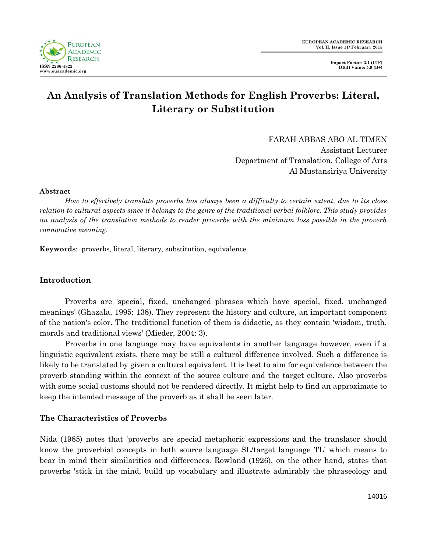

# **An Analysis of Translation Methods for English Proverbs: Literal, Literary or Substitution**

FARAH ABBAS ABO AL TIMEN Assistant Lecturer Department of Translation, College of Arts Al Mustansiriya University

#### **Abstract**

*How to effectively translate proverbs has always been a difficulty to certain extent, due to its close relation to cultural aspects since it belongs to the genre of the traditional verbal folklore. This study provides an analysis of the translation methods to render proverbs with the minimum loss possible in the proverb connotative meaning.*

**Keywords**: proverbs, literal, literary, substitution, equivalence

# **Introduction**

Proverbs are 'special, fixed, unchanged phrases which have special, fixed, unchanged meanings' (Ghazala, 1995: 138). They represent the history and culture, an important component of the nation's color. The traditional function of them is didactic, as they contain 'wisdom, truth, morals and traditional views' (Mieder, 2004: 3).

Proverbs in one language may have equivalents in another language however, even if a linguistic equivalent exists, there may be still a cultural difference involved. Such a difference is likely to be translated by given a cultural equivalent. It is best to aim for equivalence between the proverb standing within the context of the source culture and the target culture. Also proverbs with some social customs should not be rendered directly. It might help to find an approximate to keep the intended message of the proverb as it shall be seen later.

#### **The Characteristics of Proverbs**

Nida (1985) notes that 'proverbs are special metaphoric expressions and the translator should know the proverbial concepts in both source language SL/target language TL' which means to bear in mind their similarities and differences. Rowland (1926), on the other hand, states that proverbs 'stick in the mind, build up vocabulary and illustrate admirably the phraseology and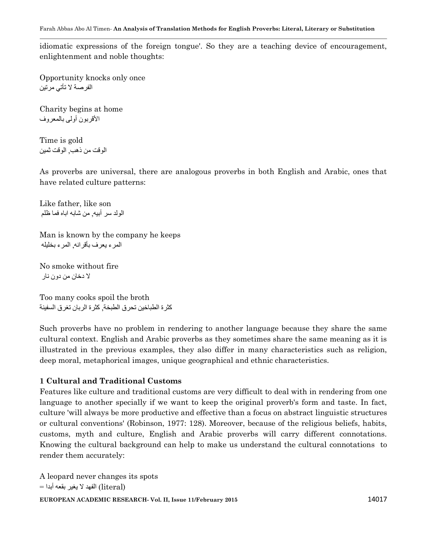idiomatic expressions of the foreign tongue'. So they are a teaching device of encouragement, enlightenment and noble thoughts:

Opportunity knocks only once الفرصة لا تأتي مرتين

Charity begins at home األقربون أولى بالمعروف

Time is gold الوقت من ذهب, الوقت ثمين

As proverbs are universal, there are analogous proverbs in both English and Arabic, ones that have related culture patterns:

Like father, like son الولد سر أبيه, من شابه اباه فما ظلم

Man is known by the company he keeps المرء يعرف بأقرانه, المرء بخليله

No smoke without fire ال دخان من دون نار

Too many cooks spoil the broth كثرة الطباخين تحرق الطبخة, كثرة الربان تغرق السفينة

Such proverbs have no problem in rendering to another language because they share the same cultural context. English and Arabic proverbs as they sometimes share the same meaning as it is illustrated in the previous examples, they also differ in many characteristics such as religion, deep moral, metaphorical images, unique geographical and ethnic characteristics.

# **1 Cultural and Traditional Customs**

Features like culture and traditional customs are very difficult to deal with in rendering from one language to another specially if we want to keep the original proverb's form and taste. In fact, culture 'will always be more productive and effective than a focus on abstract linguistic structures or cultural conventions' (Robinson, 1977: 128). Moreover, because of the religious beliefs, habits, customs, myth and culture, English and Arabic proverbs will carry different connotations. Knowing the cultural background can help to make us understand the cultural connotations to render them accurately:

**EUROPEAN ACADEMIC RESEARCH- Vol. II, Issue 11/February 2015** 14017 A leopard never changes its spots (literal )الفهد ال يغير بقعه أبدا =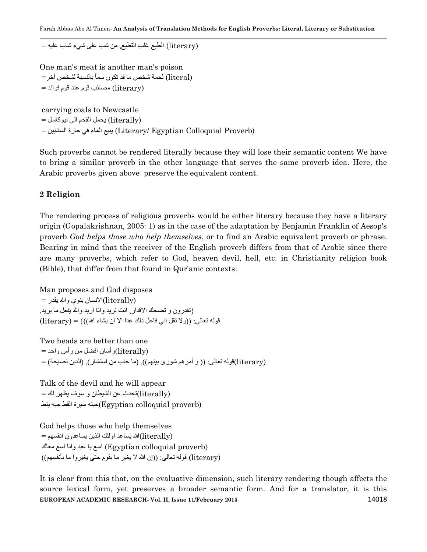(literary (الطبع غلب التطبع, من شب على شيء شاب عليه =

One man's meat is another man's poison (literal (لحمة شخص ما قد تكون سما بالنسبة لشخص آخر= (literary (مصائب قوم عند قوم فوائد =

carrying coals to Newcastle (literally (يحمل الفحم الى نيوكاسل = (Proverb Colloquial Egyptian /Literary (يبيع الماء في حارة السقايين =

Such proverbs cannot be rendered literally because they will lose their semantic content We have to bring a similar proverb in the other language that serves the same proverb idea. Here, the Arabic proverbs given above preserve the equivalent content.

#### **2 Religion**

The rendering process of religious proverbs would be either literary because they have a literary origin (Gopalakrishnan, 2005: 1) as in the case of the adaptation by Benjamin Franklin of Aesop's proverb *God helps those who help themselves*, or to find an Arabic equivalent proverb or phrase. Bearing in mind that the receiver of the English proverb differs from that of Arabic since there are many proverbs, which refer to God, heaven devil, hell, etc. in Christianity religion book (Bible), that differ from that found in Qur'anic contexts:

Man proposes and God disposes  $=$ الانسان ينوي و الله يقدر  $\rm (iterally)$ }تقدرون و تضحك االقدار, انت تريد وانا اريد وهللا يفعل ما يريد,  $(literary) = \{((\check{\omega}) \cup \check{\omega} \}$ قوله تعالى: ((ولا تقل اني فاعل ذلك غدا الا ان يشاء الله

Two heads are better than one (literally(رأسان افضل من رأس واحد = (literary(قوله تعالى: )) و أمرهم شورى بينهم((, )ما خاب من استشار(, )الدين نصيحة( =

Talk of the devil and he will appear (literally(تحدث عن الشيطان و سوف يظهر لك = (proverb colloquial Egyptian(جبنه سيرة القط جيه ينط

God helps those who help themselves (literally(هللا يساعد اولئك الذين يساعدون انفسهم = )proverb colloquial Egyptian (اسع يا عبد وانا اسع معاك (literary) قوله تعالى: ((إن الله لا يغير ما بقوم حتى يغيروا ما بأنفسهم))

**EUROPEAN ACADEMIC RESEARCH- Vol. II, Issue 11/February 2015** 14018 It is clear from this that, on the evaluative dimension, such literary rendering though affects the source lexical form, yet preserves a broader semantic form. And for a translator, it is this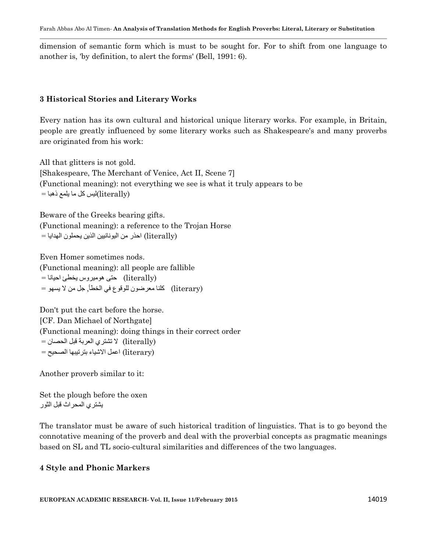dimension of semantic form which is must to be sought for. For to shift from one language to another is, 'by definition, to alert the forms' (Bell, 1991: 6).

#### **3 Historical Stories and Literary Works**

Every nation has its own cultural and historical unique literary works. For example, in Britain, people are greatly influenced by some literary works such as Shakespeare's and many proverbs are originated from his work:

All that glitters is not gold. [Shakespeare, The Merchant of Venice, Act II, Scene 7] (Functional meaning): not everything we see is what it truly appears to be  $=$ اليس كل ما يلمع ذهبا $\rm (literally)$ 

Beware of the Greeks bearing gifts. (Functional meaning): a reference to the Trojan Horse (literally (احذر من اليونانيين الذين يحملون الهدايا =

Even Homer sometimes nods. (Functional meaning): all people are fallible (literally (حتى هوميروس يخطئ احيانا = (literary (كلنا معرضون للوقوع في الخطأ, جل من ال يسهو =

Don't put the cart before the horse. [CF. Dan Michael of Northgate] (Functional meaning): doing things in their correct order (literally (ال تشتري العربة قبل الحصان = (literary (اعمل االشياء بترتيبها الصحيح =

Another proverb similar to it:

Set the plough before the oxen يشتري المحراث قبل الثور

The translator must be aware of such historical tradition of linguistics. That is to go beyond the connotative meaning of the proverb and deal with the proverbial concepts as pragmatic meanings based on SL and TL socio-cultural similarities and differences of the two languages.

# **4 Style and Phonic Markers**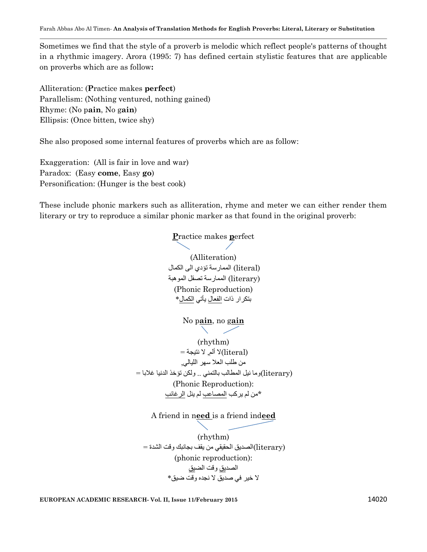Sometimes we find that the style of a proverb is melodic which reflect people's patterns of thought in a rhythmic imagery. Arora (1995: 7) has defined certain stylistic features that are applicable on proverbs which are as follow**:**

Alliteration: (**P**ractice makes **perfect**) Parallelism: (Nothing ventured, nothing gained) Rhyme: (No p**ain**, No g**ain**) Ellipsis: (Once bitten, twice shy)

She also proposed some internal features of proverbs which are as follow:

Exaggeration: (All is fair in love and war) Paradox: (Easy **come**, Easy **go**) Personification: (Hunger is the best cook)

These include phonic markers such as alliteration, rhyme and meter we can either render them literary or try to reproduce a similar phonic marker as that found in the original proverb:

> **P**ractice makes **p**erfect (Alliteration) (literal (الممارسة تؤدي الى الكمال (literary (الممارسة تصقل الموهبة (Phonic Reproduction) بتكرار ذات الفعال يأتي الكمال\* No p**ain**, no g**ain** (rhythm)  $=$  ألم, لا نتيجة  $\parallel$ (literal) من طلب العال سهر الليالي, (literary(وما نيل المطالب بالتمني .. ولكن تؤخذ الدنيا غالبا = (Phonic Reproduction): \*من لم يركب المصاعب لم ينل الرغائب

A friend in n**eed** is a friend ind**eed**

(rhythm) (literary(الصديق الحقيقي من يقف بجانبك وقت الشدة = (phonic reproduction): الصديق وقت الضيق ال خير في صديق ال نجده وقت ضيق\*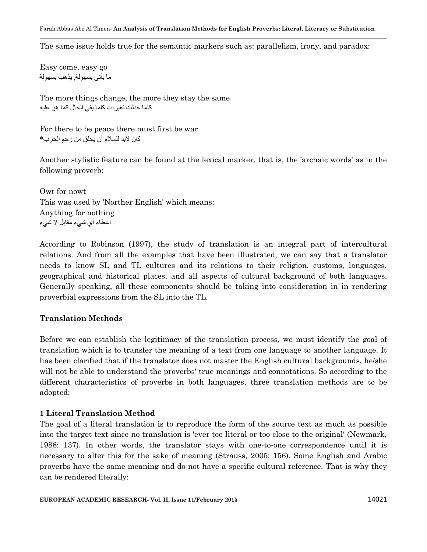The same issue holds true for the semantic markers such as: parallelism, irony, and paradox:

Easy come, easy go ما يأتي بسهولة, يذهب بسهولة

The more things change, the more they stay the same كلما حدثت تغيرات كلما بقي الحال كما هو عليه

For there to be peace there must first be war كان لابد للسلام أن يخلق من رحم الحرب\*

Another stylistic feature can be found at the lexical marker, that is, the 'archaic words' as in the following proverb:

Owt for nowt This was used by 'Norther English' which means: Anything for nothing اعطاء أي شيء مقابل ال شيء

According to Robinson (1997), the study of translation is an integral part of intercultural relations. And from all the examples that have been illustrated, we can say that a translator needs to know SL and TL cultures and its relations to their religion, customs, languages, geographical and historical places, and all aspects of cultural background of both languages. Generally speaking, all these components should be taking into consideration in in rendering proverbial expressions from the SL into the TL.

# **Translation Methods**

Before we can establish the legitimacy of the translation process, we must identify the goal of translation which is to transfer the meaning of a text from one language to another language. It has been clarified that if the translator does not master the English cultural backgrounds, he/she will not be able to understand the proverbs' true meanings and connotations. So according to the different characteristics of proverbs in both languages, three translation methods are to be adopted:

# **1 Literal Translation Method**

The goal of a literal translation is to reproduce the form of the source text as much as possible into the target text since no translation is 'ever too literal or too close to the original' (Newmark, 1988: 137). In other words, the translator stays with one-to-one correspondence until it is necessary to alter this for the sake of meaning (Strauss, 2005: 156). Some English and Arabic proverbs have the same meaning and do not have a specific cultural reference. That is why they can be rendered literally: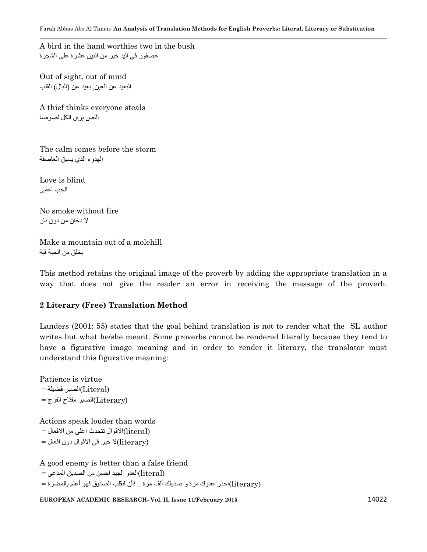A bird in the hand worthies two in the bush عصفور في اليد خير من اثنين عشرة على الشجرة

Out of sight, out of mind البعيد عن العين بعيد عن (البال) القلب

A thief thinks everyone steals اللص يرى الكل لصوصا

The calm comes before the storm الهدوء الذي يسبق العاصفة

Love is blind الحب اعمى

No smoke without fire ال دخان من دون نار

Make a mountain out of a molehill يخلق من الحبة قبة

This method retains the original image of the proverb by adding the appropriate translation in a way that does not give the reader an error in receiving the message of the proverb.

# **2 Literary (Free) Translation Method**

Landers (2001: 55) states that the goal behind translation is not to render what the SL author writes but what he/she meant. Some proverbs cannot be rendered literally because they tend to have a figurative image meaning and in order to render it literary, the translator must understand this figurative meaning:

Patience is virtue (Literal(الصبر فضيلة = (Literary(الصبر مفتاح الفرج =

Actions speak louder than words (literal(االقوال تتحدث اعلى من االفعال = (literary(ال خير في االقوال دون افعال =

A good enemy is better than a false friend (literal(العدو الجيد احسن من الصديق المدعي = (literary(احذر عدوك مرة و صديقك ألف مرة .. فأن انقلب الصديق فهو أعلم بالمضرة =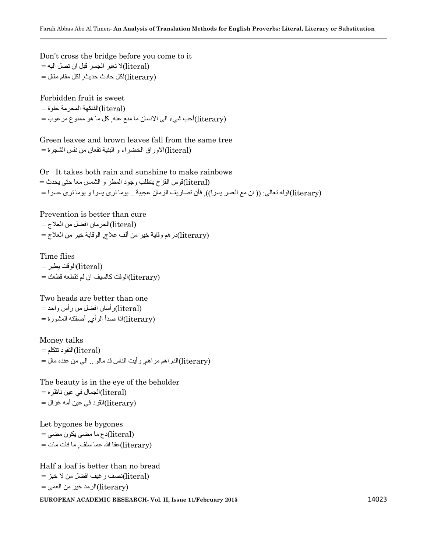Don't cross the bridge before you come to it (literal(ال تعبر الجسر قبل ان تصل اليه = (literary(لكل حادث حديث, لكل مقام مقال =

Forbidden fruit is sweet  $=$  (literal)(الفاكهة المحرمة حلوة  $=$ (literary(أحب شيء الى االنسان ما منع عنه, كل ما هو ممنوع مرغوب =

Green leaves and brown leaves fall from the same tree  $\epsilon$ الأوراق الخضراء و البنية تقعان من نفس الشجر ة $\rm (literal)$ 

Or It takes both rain and sunshine to make rainbows (literal(قوس القزح يتطلب وجود المطر و الشمس معا حتى يحدث = (literary(قوله تعالى: )) ان مع العسر يسرا((, فأن تصاريف الزمان عجيبة .. يوما ترى يسرا و يوما ترى عسرا =

Prevention is better than cure (literal(الحرمان افضل من العالج = (literary(درهم وقاية خير من ألف عالج, الوقاية خير من العالج =

Time flies (literal(الوقت يطير = (literary(الوقت كالسيف ان لم تقطعه قطعك =

Two heads are better than one (literal(رأسان افضل من رأس واحد = (literary(اذا صدأ الرأي, أصقلته المشورة =

Money talks  $=$ النقود تتكلم $($ literal) (literary(الدراهم مراهم, رأيت الناس قد مالو .. الى من عنده مال =

The beauty is in the eye of the beholder  $=$ الجمال في عين ناظره $=$ (literal) (literary(القرد في عين أمه غزال =

Let bygones be bygones  $=$  دع ما مضى يكون مضى $( \text{literal})$  $=$ (literary) عفا الله عما سلف, ما فات مات $( \text{literary})$ 

Half a loaf is better than no bread  $\pm$  (literal)نصف رغيف افضل من لا خبز $\text{(literal)}$ (literary(الرمد خير من العمى =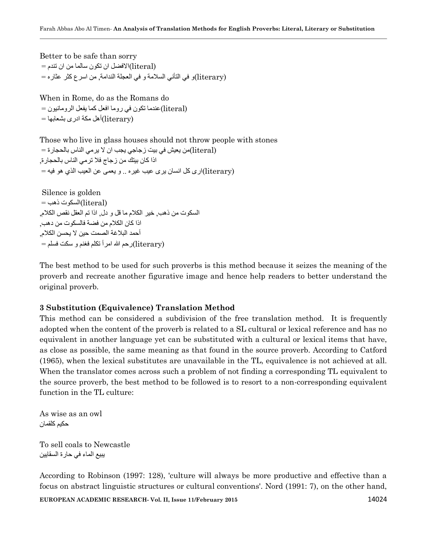```
Better to be safe than sorry
(literal(االفضل ان تكون سالما من ان تندم = 
(literary(و في التأني السالمة و في العجلة الندامة, من اسرع كثر عثاره =
```
When in Rome, do as the Romans do (literal(عندما تكون في روما افعل كما يفعل الرومانيون = (literary(أهل مكة ادرى بشعابها =

Those who live in glass houses should not throw people with stones (literal(من يعيش في بيت زجاجي يجب ان ال يرمي الناس بالحجارة = اذا كان بيتك من زجاج فال ترمي الناس بالحجارة, (literary(ارى كل انسان يرى عيب غيره .. و يعمى عن العيب الذي هو فيه =

Silence is golden  $=$ السكوت ذهب $($ literal) السكوت من ذهب, خير الكالم ما قل و دل, اذا تم العقل نقص الكالم, اذا كان الكالم من فضة فالسكوت من دهب, أحمد البلاغة الصمت حين لا يحسن الكلام<sub>.</sub>  $=$  (literary)(رحم الله امرأ تكلم فغنم و سكت فسلم $\hbox{1}$ 

The best method to be used for such proverbs is this method because it seizes the meaning of the proverb and recreate another figurative image and hence help readers to better understand the original proverb.

#### **3 Substitution (Equivalence) Translation Method**

This method can be considered a subdivision of the free translation method. It is frequently adopted when the content of the proverb is related to a SL cultural or lexical reference and has no equivalent in another language yet can be substituted with a cultural or lexical items that have, as close as possible, the same meaning as that found in the source proverb. According to Catford (1965), when the lexical substitutes are unavailable in the TL, equivalence is not achieved at all. When the translator comes across such a problem of not finding a corresponding TL equivalent to the source proverb, the best method to be followed is to resort to a non-corresponding equivalent function in the TL culture:

As wise as an owl حكيم كلقمان

To sell coals to Newcastle يبيع الماء في حارة السقايين

According to Robinson (1997: 128), 'culture will always be more productive and effective than a focus on abstract linguistic structures or cultural conventions'. Nord (1991: 7), on the other hand,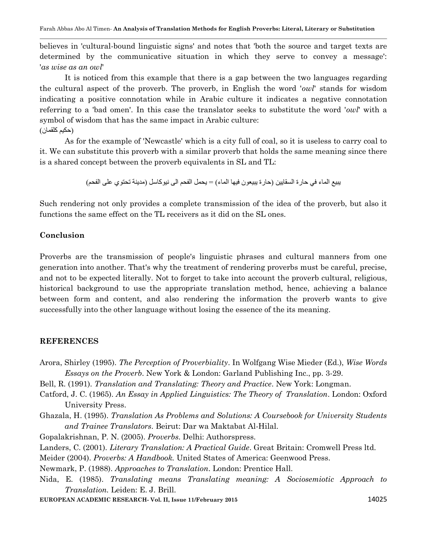believes in 'cultural-bound linguistic signs' and notes that 'both the source and target texts are determined by the communicative situation in which they serve to convey a message': '*as wise as an owl*'

It is noticed from this example that there is a gap between the two languages regarding the cultural aspect of the proverb. The proverb, in English the word '*owl*' stands for wisdom indicating a positive connotation while in Arabic culture it indicates a negative connotation referring to a 'bad omen'. In this case the translator seeks to substitute the word '*owl*' with a symbol of wisdom that has the same impact in Arabic culture: )حكيم كلقمان(

As for the example of 'Newcastle' which is a city full of coal, so it is useless to carry coal to it. We can substitute this proverb with a similar proverb that holds the same meaning since there is a shared concept between the proverb equivalents in SL and TL:

يبيع الماء في حارة السقايين (حارة يبيعون فيها الماء) = يحمل الفحم الى نيوكاسل (مدينة تحتوي على الفحم)

Such rendering not only provides a complete transmission of the idea of the proverb, but also it functions the same effect on the TL receivers as it did on the SL ones.

#### **Conclusion**

Proverbs are the transmission of people's linguistic phrases and cultural manners from one generation into another. That's why the treatment of rendering proverbs must be careful, precise, and not to be expected literally. Not to forget to take into account the proverb cultural, religious, historical background to use the appropriate translation method, hence, achieving a balance between form and content, and also rendering the information the proverb wants to give successfully into the other language without losing the essence of the its meaning.

#### **REFERENCES**

- Arora, Shirley (1995). *The Perception of Proverbiality*. In Wolfgang Wise Mieder (Ed.), *Wise Words Essays on the Proverb*. New York & London: Garland Publishing Inc., pp. 3-29.
- Bell, R. (1991). *Translation and Translating: Theory and Practice*. New York: Longman.
- Catford, J. C. (1965). *An Essay in Applied Linguistics: The Theory of Translation*. London: Oxford University Press.
- Ghazala, H. (1995). *Translation As Problems and Solutions: A Coursebook for University Students and Trainee Translators*. Beirut: Dar wa Maktabat Al-Hilal.

Gopalakrishnan, P. N. (2005). *Proverbs*. Delhi: Authorspress.

Landers, C. (2001). *Literary Translation: A Practical Guide*. Great Britain: Cromwell Press ltd.

Meider (2004). *Proverbs: A Handbook.* United States of America: Geenwood Press.

Newmark, P. (1988). *Approaches to Translation*. London: Prentice Hall.

Nida, E. (1985). *Translating means Translating meaning: A Sociosemiotic Approach to Translation.* Leiden: E. J. Brill.